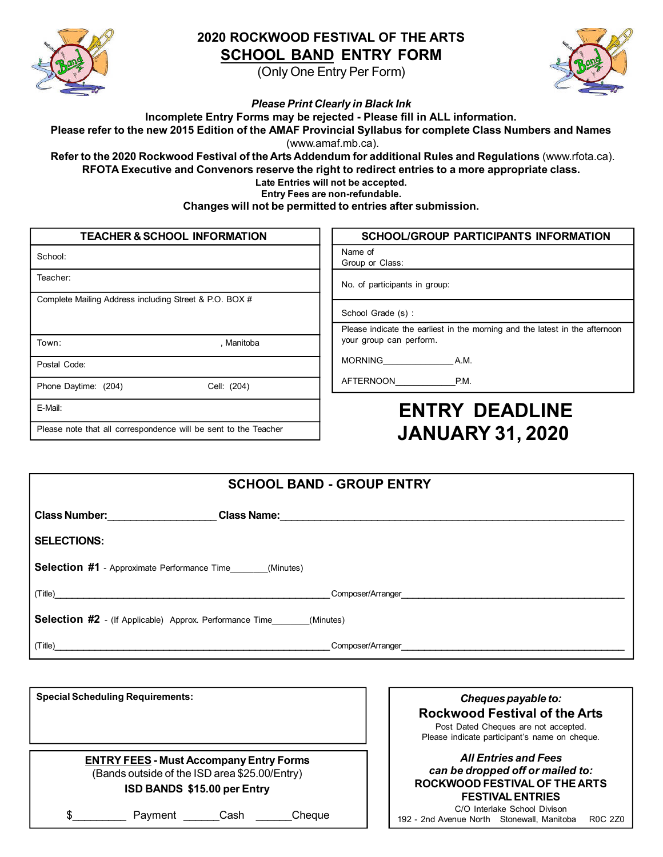

## **2020 ROCKWOOD FESTIVAL OF THE ARTS SCHOOL BAND ENTRY FORM**

(Only One Entry Per Form)



*Please Print Clearly in Black Ink*

**Incomplete Entry Forms may be rejected - Please fill in ALL information.**

Please refer to the new 2015 Edition of the AMAF Provincial Syllabus for complete Class Numbers and Names (www.amaf.mb.ca).

**Refer to the 2020 Rockwood Festival of the Arts Addendum for additional Rules and Regulations** (www.rfota.ca). **RFOTA Executive and Convenors reserve the right to redirect entries to a more appropriate class.**

**Late Entries will not be accepted.**

**Entry Fees are non-refundable.**

**Changes will not be permitted to entries after submission.**

| <b>TEACHER &amp; SCHOOL INFORMATION</b>                         | <b>SCHOOL/GROUP PARTICIPANTS INFORMATION</b>                                |  |
|-----------------------------------------------------------------|-----------------------------------------------------------------------------|--|
| School:                                                         | Name of<br>Group or Class:                                                  |  |
| Teacher:                                                        | No. of participants in group:                                               |  |
| Complete Mailing Address including Street & P.O. BOX #          | School Grade (s):                                                           |  |
|                                                                 | Please indicate the earliest in the morning and the latest in the afternoon |  |
| Town:<br>. Manitoba                                             | your group can perform.                                                     |  |
| Postal Code:                                                    | <b>MORNING</b><br>A.M.                                                      |  |
| Cell: (204)<br>Phone Daytime: (204)                             | AFTERNOON<br>P.M.                                                           |  |
| E-Mail:                                                         | <b>ENTRY DEADLINE</b>                                                       |  |
| Please note that all correspondence will be sent to the Teacher | <b>JANUARY 31, 2020</b>                                                     |  |

| <b>SCHOOL BAND - GROUP ENTRY</b>                                                                                                 |  |
|----------------------------------------------------------------------------------------------------------------------------------|--|
| Class Number: The Class Number:                                                                                                  |  |
| <b>SELECTIONS:</b>                                                                                                               |  |
| <b>Selection #1</b> - Approximate Performance Time _______(Minutes)                                                              |  |
|                                                                                                                                  |  |
| <b>Selection #2</b> - (If Applicable) Approx. Performance Time_______(Minutes)                                                   |  |
| (Title)<br><u> 1989 - Johann Harry Harry Harry Harry Harry Harry Harry Harry Harry Harry Harry Harry Harry Harry Harry Harry</u> |  |

| <b>Special Scheduling Requirements:</b>                                                                                        |                       |
|--------------------------------------------------------------------------------------------------------------------------------|-----------------------|
|                                                                                                                                | <b>Rocky</b><br>Post  |
|                                                                                                                                | Please i              |
| <b>ENTRY FEES - Must Accompany Entry Forms</b><br>(Bands outside of the ISD area \$25.00/Entry)<br>ISD BANDS \$15.00 per Entry | can I<br><b>ROCKW</b> |
| \$<br>Cash<br>Cheque<br>Payment                                                                                                | 192 - 2nd Aver        |

*Chequespayable to:* **Rockwood Festival of the Arts** Dated Cheques are not accepted. indicate participant's name on cheque.

### *All Entries and Fees can be dropped off or mailed to:* **ROCKWOOD FESTIVAL OF THE ARTS FESTIVAL ENTRIES**

C/O Interlake School Divison nue North Stonewall, Manitoba R0C 2Z0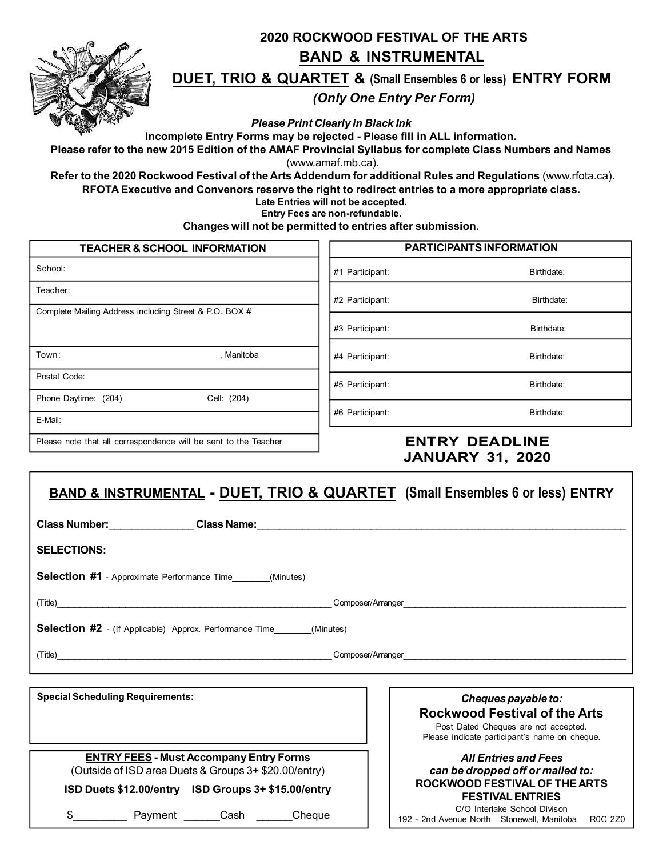

# **2020 ROCKWOOD FESTIVAL OF THE ARTS BAND & INSTRUMENTAL DUET, TRIO & QUARTET & (Small Ensembles <sup>6</sup> or less) ENTRY FORM** *(Only One Entry Per Form)*

*Please Print Clearly in Black Ink*

**Incomplete Entry Forms may be rejected - Please fill in ALL information.**

Please refer to the new 2015 Edition of the AMAF Provincial Syllabus for complete Class Numbers and Names (www.amaf.mb.ca).

**Refer to the 2020 Rockwood Festival of the Arts Addendum for additional Rules and Regulations** (www.rfota.ca). **RFOTA Executive and Convenors reserve the right to redirect entries to a more appropriate class.**

**Late Entries will not be accepted.**

**Entry Fees are non-refundable.**

**Changes will not be permitted to entries after submission.**

| <b>TEACHER &amp; SCHOOL INFORMATION</b>                         |                 | PARTICIPANTS INFORMATION |
|-----------------------------------------------------------------|-----------------|--------------------------|
| School:                                                         | #1 Participant: | Birthdate:               |
| Teacher:                                                        | #2 Participant: | Birthdate:               |
| Complete Mailing Address including Street & P.O. BOX #          | #3 Participant: | Birthdate:               |
| Town:<br>, Manitoba                                             | #4 Participant: | Birthdate:               |
| Postal Code:                                                    | #5 Participant: | Birthdate:               |
| Phone Daytime: (204)<br>Cell: (204)                             |                 |                          |
| E-Mail:                                                         | #6 Participant: | Birthdate:               |
| Please note that all correspondence will be sent to the Teacher |                 | <b>ENTRY DEADLINE</b>    |

# **JANUARY 31, 2020**

|                                                                                | <b>BAND &amp; INSTRUMENTAL - DUET, TRIO &amp; QUARTET</b> (Small Ensembles 6 or less) ENTRY                                                                                                                                    |  |
|--------------------------------------------------------------------------------|--------------------------------------------------------------------------------------------------------------------------------------------------------------------------------------------------------------------------------|--|
|                                                                                | Class Number: Class Name: Class Name: Class Name: Class Number: Class Number: Class Number: Class Name: Class Name: Class Number: Class Number: Class Number: Class Number: Class Number: Class Number: Class Number: Class Nu |  |
| <b>SELECTIONS:</b>                                                             |                                                                                                                                                                                                                                |  |
| <b>Selection #1</b> - Approximate Performance Time _______(Minutes)            |                                                                                                                                                                                                                                |  |
|                                                                                | (Title) Composer/Arranger                                                                                                                                                                                                      |  |
| <b>Selection #2</b> - (If Applicable) Approx. Performance Time_______(Minutes) |                                                                                                                                                                                                                                |  |
|                                                                                | (Title) Composer/Arranger Composer/Arranger                                                                                                                                                                                    |  |
|                                                                                |                                                                                                                                                                                                                                |  |

**Special Scheduling Requirements:**

**ENTRY FEES - Must Accompany Entry Forms** (Outside of ISD area Duets & Groups 3+ \$20.00/entry)

**ISD Duets \$12.00/entry ISD Groups 3+ \$15.00/entry**

\$ Payment Cash Cheque

Cheques payable to: **Rockwood Festival of the Arts**

Post Dated Cheques are not accepted. Please indicate participant's name on cheque.

#### *All Entries and Fees can be dropped off or mailed to:* **ROCKWOOD FESTIVAL OF THE ARTS FESTIVAL ENTRIES**

C/O Interlake School Divison 192 - 2nd Avenue North Stonewall, Manitoba R0C 2Z0